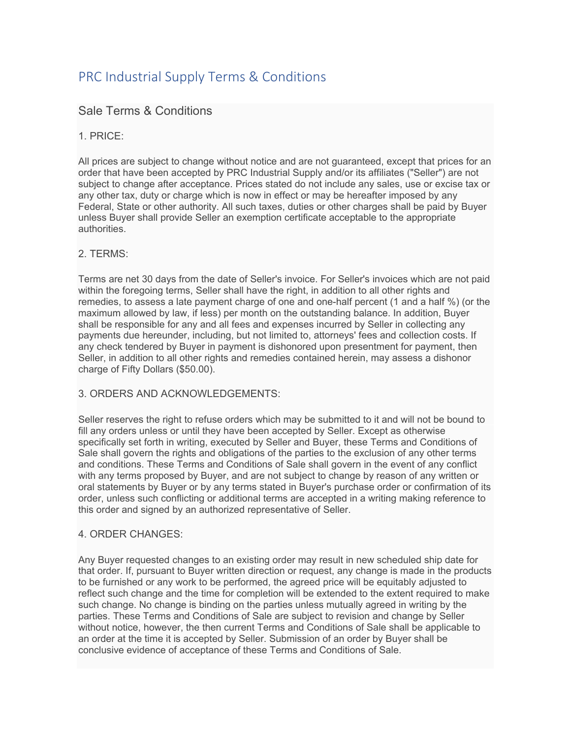# PRC Industrial Supply Terms & Conditions

## Sale Terms & Conditions

## 1. PRICE:

All prices are subject to change without notice and are not guaranteed, except that prices for an order that have been accepted by PRC Industrial Supply and/or its affiliates ("Seller") are not subject to change after acceptance. Prices stated do not include any sales, use or excise tax or any other tax, duty or charge which is now in effect or may be hereafter imposed by any Federal, State or other authority. All such taxes, duties or other charges shall be paid by Buyer unless Buyer shall provide Seller an exemption certificate acceptable to the appropriate authorities.

## 2. TERMS:

Terms are net 30 days from the date of Seller's invoice. For Seller's invoices which are not paid within the foregoing terms, Seller shall have the right, in addition to all other rights and remedies, to assess a late payment charge of one and one-half percent (1 and a half %) (or the maximum allowed by law, if less) per month on the outstanding balance. In addition, Buyer shall be responsible for any and all fees and expenses incurred by Seller in collecting any payments due hereunder, including, but not limited to, attorneys' fees and collection costs. If any check tendered by Buyer in payment is dishonored upon presentment for payment, then Seller, in addition to all other rights and remedies contained herein, may assess a dishonor charge of Fifty Dollars (\$50.00).

## 3. ORDERS AND ACKNOWLEDGEMENTS:

Seller reserves the right to refuse orders which may be submitted to it and will not be bound to fill any orders unless or until they have been accepted by Seller. Except as otherwise specifically set forth in writing, executed by Seller and Buyer, these Terms and Conditions of Sale shall govern the rights and obligations of the parties to the exclusion of any other terms and conditions. These Terms and Conditions of Sale shall govern in the event of any conflict with any terms proposed by Buyer, and are not subject to change by reason of any written or oral statements by Buyer or by any terms stated in Buyer's purchase order or confirmation of its order, unless such conflicting or additional terms are accepted in a writing making reference to this order and signed by an authorized representative of Seller.

## 4. ORDER CHANGES:

Any Buyer requested changes to an existing order may result in new scheduled ship date for that order. If, pursuant to Buyer written direction or request, any change is made in the products to be furnished or any work to be performed, the agreed price will be equitably adjusted to reflect such change and the time for completion will be extended to the extent required to make such change. No change is binding on the parties unless mutually agreed in writing by the parties. These Terms and Conditions of Sale are subject to revision and change by Seller without notice, however, the then current Terms and Conditions of Sale shall be applicable to an order at the time it is accepted by Seller. Submission of an order by Buyer shall be conclusive evidence of acceptance of these Terms and Conditions of Sale.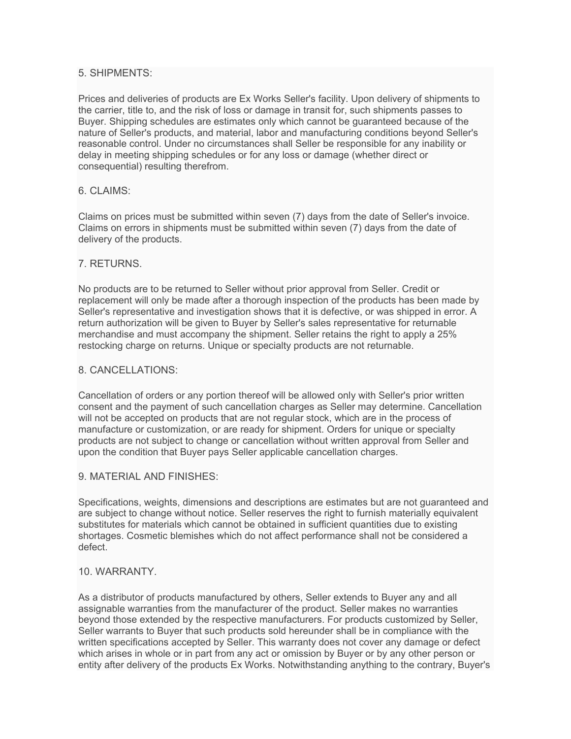## 5. SHIPMENTS:

Prices and deliveries of products are Ex Works Seller's facility. Upon delivery of shipments to the carrier, title to, and the risk of loss or damage in transit for, such shipments passes to Buyer. Shipping schedules are estimates only which cannot be guaranteed because of the nature of Seller's products, and material, labor and manufacturing conditions beyond Seller's reasonable control. Under no circumstances shall Seller be responsible for any inability or delay in meeting shipping schedules or for any loss or damage (whether direct or consequential) resulting therefrom.

## 6. CLAIMS:

Claims on prices must be submitted within seven (7) days from the date of Seller's invoice. Claims on errors in shipments must be submitted within seven (7) days from the date of delivery of the products.

## 7. RETURNS.

No products are to be returned to Seller without prior approval from Seller. Credit or replacement will only be made after a thorough inspection of the products has been made by Seller's representative and investigation shows that it is defective, or was shipped in error. A return authorization will be given to Buyer by Seller's sales representative for returnable merchandise and must accompany the shipment. Seller retains the right to apply a 25% restocking charge on returns. Unique or specialty products are not returnable.

## 8. CANCELLATIONS:

Cancellation of orders or any portion thereof will be allowed only with Seller's prior written consent and the payment of such cancellation charges as Seller may determine. Cancellation will not be accepted on products that are not regular stock, which are in the process of manufacture or customization, or are ready for shipment. Orders for unique or specialty products are not subject to change or cancellation without written approval from Seller and upon the condition that Buyer pays Seller applicable cancellation charges.

#### 9. MATERIAL AND FINISHES:

Specifications, weights, dimensions and descriptions are estimates but are not guaranteed and are subject to change without notice. Seller reserves the right to furnish materially equivalent substitutes for materials which cannot be obtained in sufficient quantities due to existing shortages. Cosmetic blemishes which do not affect performance shall not be considered a defect.

#### 10. WARRANTY.

As a distributor of products manufactured by others, Seller extends to Buyer any and all assignable warranties from the manufacturer of the product. Seller makes no warranties beyond those extended by the respective manufacturers. For products customized by Seller, Seller warrants to Buyer that such products sold hereunder shall be in compliance with the written specifications accepted by Seller. This warranty does not cover any damage or defect which arises in whole or in part from any act or omission by Buyer or by any other person or entity after delivery of the products Ex Works. Notwithstanding anything to the contrary, Buyer's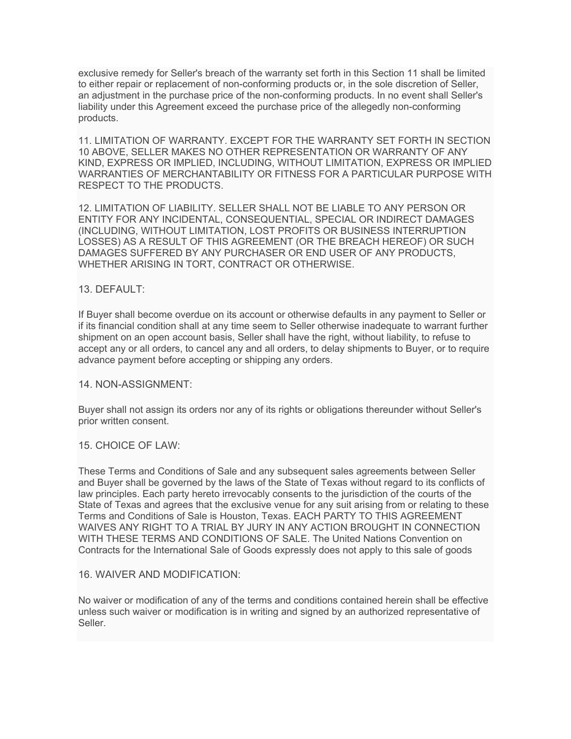exclusive remedy for Seller's breach of the warranty set forth in this Section 11 shall be limited to either repair or replacement of non-conforming products or, in the sole discretion of Seller, an adjustment in the purchase price of the non-conforming products. In no event shall Seller's liability under this Agreement exceed the purchase price of the allegedly non-conforming products.

11. LIMITATION OF WARRANTY. EXCEPT FOR THE WARRANTY SET FORTH IN SECTION 10 ABOVE, SELLER MAKES NO OTHER REPRESENTATION OR WARRANTY OF ANY KIND, EXPRESS OR IMPLIED, INCLUDING, WITHOUT LIMITATION, EXPRESS OR IMPLIED WARRANTIES OF MERCHANTABILITY OR FITNESS FOR A PARTICULAR PURPOSE WITH RESPECT TO THE PRODUCTS.

12. LIMITATION OF LIABILITY. SELLER SHALL NOT BE LIABLE TO ANY PERSON OR ENTITY FOR ANY INCIDENTAL, CONSEQUENTIAL, SPECIAL OR INDIRECT DAMAGES (INCLUDING, WITHOUT LIMITATION, LOST PROFITS OR BUSINESS INTERRUPTION LOSSES) AS A RESULT OF THIS AGREEMENT (OR THE BREACH HEREOF) OR SUCH DAMAGES SUFFERED BY ANY PURCHASER OR END USER OF ANY PRODUCTS, WHETHER ARISING IN TORT, CONTRACT OR OTHERWISE.

## 13. DEFAULT:

If Buyer shall become overdue on its account or otherwise defaults in any payment to Seller or if its financial condition shall at any time seem to Seller otherwise inadequate to warrant further shipment on an open account basis, Seller shall have the right, without liability, to refuse to accept any or all orders, to cancel any and all orders, to delay shipments to Buyer, or to require advance payment before accepting or shipping any orders.

## 14. NON-ASSIGNMENT:

Buyer shall not assign its orders nor any of its rights or obligations thereunder without Seller's prior written consent.

## 15. CHOICE OF LAW:

These Terms and Conditions of Sale and any subsequent sales agreements between Seller and Buyer shall be governed by the laws of the State of Texas without regard to its conflicts of law principles. Each party hereto irrevocably consents to the jurisdiction of the courts of the State of Texas and agrees that the exclusive venue for any suit arising from or relating to these Terms and Conditions of Sale is Houston, Texas. EACH PARTY TO THIS AGREEMENT WAIVES ANY RIGHT TO A TRIAL BY JURY IN ANY ACTION BROUGHT IN CONNECTION WITH THESE TERMS AND CONDITIONS OF SALE. The United Nations Convention on Contracts for the International Sale of Goods expressly does not apply to this sale of goods

## 16. WAIVER AND MODIFICATION:

No waiver or modification of any of the terms and conditions contained herein shall be effective unless such waiver or modification is in writing and signed by an authorized representative of Seller.